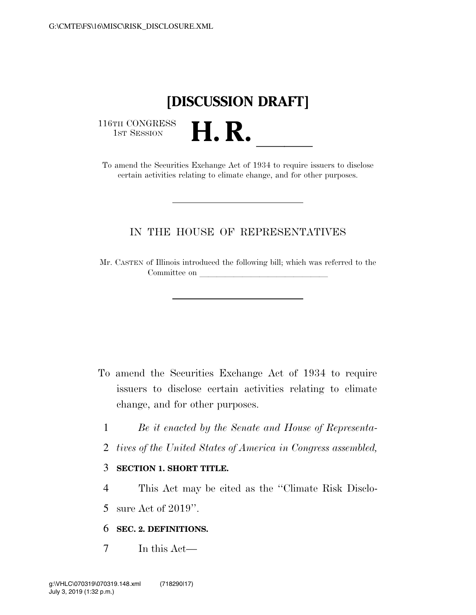# **[DISCUSSION DRAFT]**

116TH CONGRESS<br>1st Session

16TH CONGRESS<br>1st SESSION<br>To amend the Securities Exchange Act of 1934 to require issuers to disclose certain activities relating to climate change, and for other purposes.

## IN THE HOUSE OF REPRESENTATIVES

Mr. CASTEN of Illinois introduced the following bill; which was referred to the Committee on

- To amend the Securities Exchange Act of 1934 to require issuers to disclose certain activities relating to climate change, and for other purposes.
	- 1 *Be it enacted by the Senate and House of Representa-*
	- 2 *tives of the United States of America in Congress assembled,*

### 3 **SECTION 1. SHORT TITLE.**

4 This Act may be cited as the ''Climate Risk Disclo-

5 sure Act of 2019''.

## 6 **SEC. 2. DEFINITIONS.**

7 In this Act—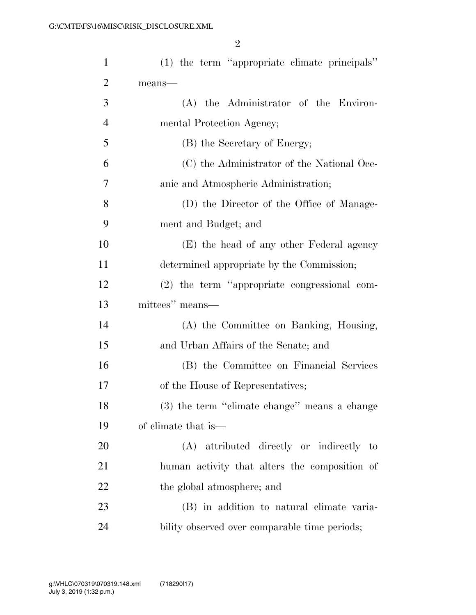| $\mathbf{1}$   | (1) the term "appropriate climate principals" |
|----------------|-----------------------------------------------|
| $\overline{2}$ | means-                                        |
| 3              | (A) the Administrator of the Environ-         |
| $\overline{4}$ | mental Protection Agency;                     |
| 5              | (B) the Secretary of Energy;                  |
| 6              | (C) the Administrator of the National Oce-    |
| 7              | anic and Atmospheric Administration;          |
| 8              | (D) the Director of the Office of Manage-     |
| 9              | ment and Budget; and                          |
| 10             | (E) the head of any other Federal agency      |
| 11             | determined appropriate by the Commission;     |
| 12             | (2) the term "appropriate congressional com-  |
| 13             | mittees" means—                               |
| 14             | (A) the Committee on Banking, Housing,        |
| 15             | and Urban Affairs of the Senate; and          |
| 16             | (B) the Committee on Financial Services       |
| 17             | of the House of Representatives;              |
| 18             | (3) the term "climate change" means a change  |
| 19             | of climate that is—                           |
| 20             | (A) attributed directly or indirectly to      |
| 21             | human activity that alters the composition of |
| 22             | the global atmosphere; and                    |
| 23             | (B) in addition to natural climate varia-     |
| 24             | bility observed over comparable time periods; |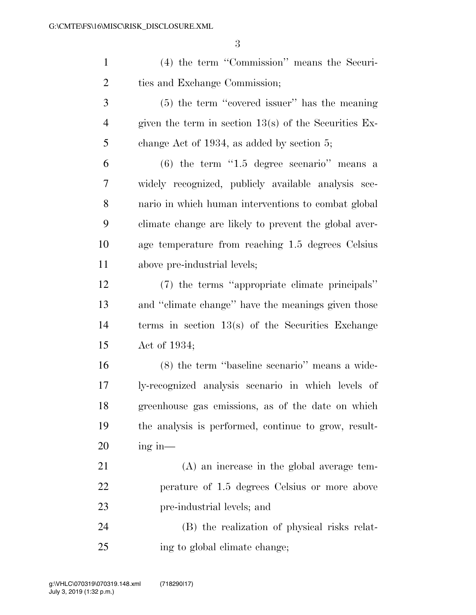(4) the term ''Commission'' means the Securi- ties and Exchange Commission; (5) the term ''covered issuer'' has the meaning given the term in section 13(s) of the Securities Ex- change Act of 1934, as added by section 5; (6) the term ''1.5 degree scenario'' means a widely recognized, publicly available analysis sce- nario in which human interventions to combat global climate change are likely to prevent the global aver- age temperature from reaching 1.5 degrees Celsius above pre-industrial levels; (7) the terms ''appropriate climate principals'' and ''climate change'' have the meanings given those terms in section 13(s) of the Securities Exchange Act of 1934; (8) the term ''baseline scenario'' means a wide- ly-recognized analysis scenario in which levels of greenhouse gas emissions, as of the date on which the analysis is performed, continue to grow, result- ing in— (A) an increase in the global average tem- perature of 1.5 degrees Celsius or more above pre-industrial levels; and

 (B) the realization of physical risks relat-ing to global climate change;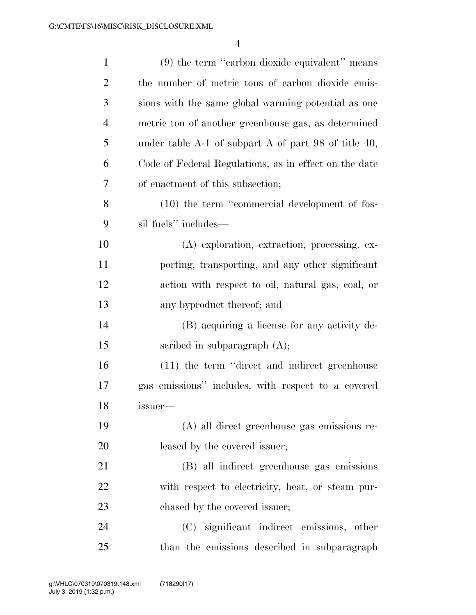| $\mathbf{1}$   | $(9)$ the term "carbon dioxide equivalent" means         |
|----------------|----------------------------------------------------------|
| $\overline{2}$ | the number of metric tons of carbon dioxide emis-        |
| 3              | sions with the same global warming potential as one      |
| $\overline{4}$ | metric ton of another greenhouse gas, as determined      |
| 5              | under table $A-1$ of subpart $A$ of part 98 of title 40, |
| 6              | Code of Federal Regulations, as in effect on the date    |
| 7              | of enactment of this subsection;                         |
| 8              | $(10)$ the term "commercial development of fos-          |
| 9              | sil fuels" includes—                                     |
| 10             | (A) exploration, extraction, processing, ex-             |
| 11             | porting, transporting, and any other significant         |
| 12             | action with respect to oil, natural gas, coal, or        |
| 13             | any byproduct thereof; and                               |
| 14             | (B) acquiring a license for any activity de-             |
| 15             | scribed in subparagraph $(A)$ ;                          |
| 16             | (11) the term "direct and indirect greenhouse            |
| 17             | gas emissions" includes, with respect to a covered       |
| 18             | <i>issuer-</i>                                           |
| 19             | (A) all direct greenhouse gas emissions re-              |
| 20             | leased by the covered issuer;                            |
| 21             | (B) all indirect greenhouse gas emissions                |
| 22             | with respect to electricity, heat, or steam pur-         |
| 23             | chased by the covered issuer;                            |
| 24             | (C) significant indirect emissions, other                |
| 25             | than the emissions described in subparagraph             |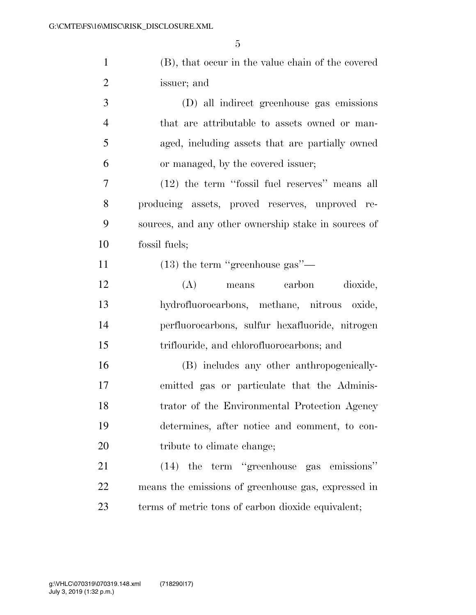| $\mathbf{1}$   | (B), that occur in the value chain of the covered |
|----------------|---------------------------------------------------|
| $\overline{2}$ | issuer; and                                       |
| 3              | (D) all indirect greenhouse gas emissions         |
| $\overline{4}$ | that are attributable to assets owned or man-     |
| 5              | aged, including assets that are partially owned   |
| 6              | or managed, by the covered issuer;                |

 (12) the term ''fossil fuel reserves'' means all producing assets, proved reserves, unproved re- sources, and any other ownership stake in sources of fossil fuels;

(13) the term ''greenhouse gas''—

 (A) means carbon dioxide, hydrofluorocarbons, methane, nitrous oxide, perfluorocarbons, sulfur hexafluoride, nitrogen triflouride, and chlorofluorocarbons; and

 (B) includes any other anthropogenically- emitted gas or particulate that the Adminis- trator of the Environmental Protection Agency determines, after notice and comment, to con-20 tribute to climate change;

 (14) the term ''greenhouse gas emissions'' means the emissions of greenhouse gas, expressed in terms of metric tons of carbon dioxide equivalent;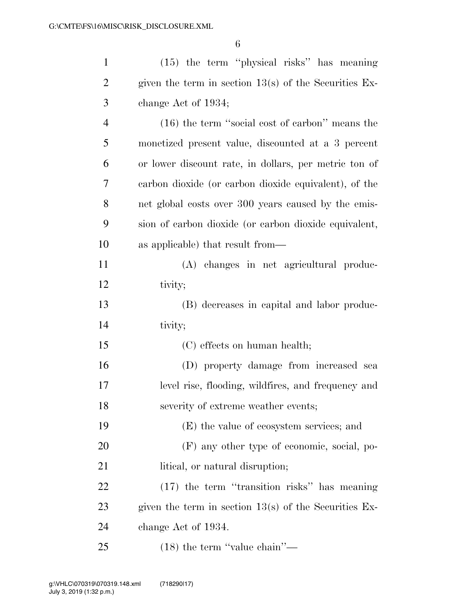| $\mathbf{1}$   | (15) the term "physical risks" has meaning              |
|----------------|---------------------------------------------------------|
| $\overline{2}$ | given the term in section $13(s)$ of the Securities Ex- |
| 3              | change Act of 1934;                                     |
| $\overline{4}$ | $(16)$ the term "social cost of carbon" means the       |
| 5              | monetized present value, discounted at a 3 percent      |
| 6              | or lower discount rate, in dollars, per metric ton of   |
| 7              | carbon dioxide (or carbon dioxide equivalent), of the   |
| 8              | net global costs over 300 years caused by the emis-     |
| 9              | sion of carbon dioxide (or carbon dioxide equivalent,   |
| 10             | as applicable) that result from—                        |
| 11             | (A) changes in net agricultural produc-                 |
| 12             | tivity;                                                 |
| 13             | (B) decreases in capital and labor produc-              |
| 14             | tivity;                                                 |
| 15             | (C) effects on human health;                            |
| 16             | (D) property damage from increased sea                  |
| 17             | level rise, flooding, wildfires, and frequency and      |
| 18             | severity of extreme weather events;                     |
| 19             | (E) the value of ecosystem services; and                |
| 20             | (F) any other type of economic, social, po-             |
| 21             | litical, or natural disruption;                         |
| 22             | $(17)$ the term "transition risks" has meaning          |
| 23             | given the term in section $13(s)$ of the Securities Ex- |
| 24             | change Act of 1934.                                     |
| 25             | $(18)$ the term "value chain"—                          |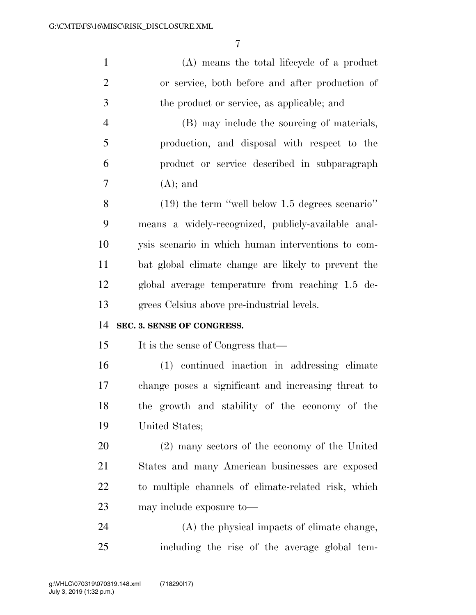| $\mathbf{1}$   | (A) means the total lifecycle of a product          |
|----------------|-----------------------------------------------------|
| $\overline{2}$ | or service, both before and after production of     |
| 3              | the product or service, as applicable; and          |
| $\overline{4}$ | (B) may include the sourcing of materials,          |
| 5              | production, and disposal with respect to the        |
| 6              | product or service described in subparagraph        |
| 7              | $(A)$ ; and                                         |
| 8              | $(19)$ the term "well below 1.5 degrees scenario"   |
| 9              | means a widely-recognized, publicly-available anal- |
| 10             | ysis scenario in which human interventions to com-  |
| 11             | bat global climate change are likely to prevent the |
| 12             | global average temperature from reaching 1.5 de-    |
|                |                                                     |
| 13             | grees Celsius above pre-industrial levels.          |
| 14             | SEC. 3. SENSE OF CONGRESS.                          |
| 15             | It is the sense of Congress that—                   |
| 16             | (1) continued inaction in addressing climate        |
| 17             | change poses a significant and increasing threat to |
| 18             | the growth and stability of the economy of the      |
| 19             | United States;                                      |
| 20             | (2) many sectors of the economy of the United       |
| 21             | States and many American businesses are exposed     |
| 22             | to multiple channels of climate-related risk, which |
| 23             | may include exposure to-                            |
| 24             | (A) the physical impacts of climate change,         |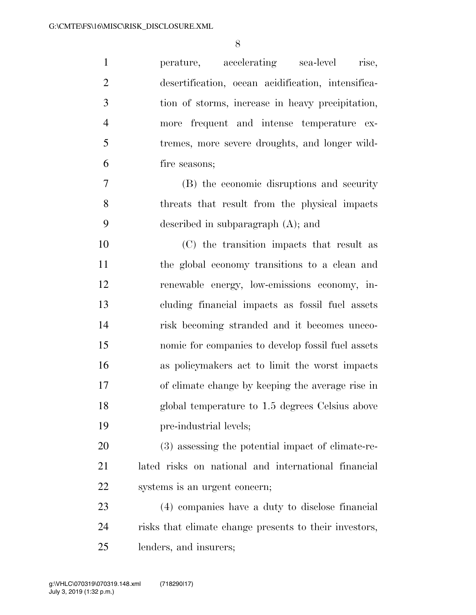| $\mathbf{1}$   | perature, accelerating sea-level<br>rise,              |
|----------------|--------------------------------------------------------|
| $\overline{2}$ | desertification, ocean acidification, intensifica-     |
| 3              | tion of storms, increase in heavy precipitation,       |
| $\overline{4}$ | more frequent and intense temperature ex-              |
| 5              | tremes, more severe droughts, and longer wild-         |
| 6              | fire seasons;                                          |
| 7              | (B) the economic disruptions and security              |
| 8              | threats that result from the physical impacts          |
| 9              | described in subparagraph $(A)$ ; and                  |
| 10             | (C) the transition impacts that result as              |
| 11             | the global economy transitions to a clean and          |
| 12             | renewable energy, low-emissions economy, in-           |
| 13             | cluding financial impacts as fossil fuel assets        |
| 14             | risk becoming stranded and it becomes uneco-           |
| 15             | nomic for companies to develop fossil fuel assets      |
| 16             | as policymakers act to limit the worst impacts         |
| 17             | of climate change by keeping the average rise in       |
| 18             | global temperature to 1.5 degrees Celsius above        |
| 19             | pre-industrial levels;                                 |
| 20             | (3) assessing the potential impact of climate-re-      |
| 21             | lated risks on national and international financial    |
| 22             | systems is an urgent concern;                          |
| 23             | (4) companies have a duty to disclose financial        |
| 24             | risks that climate change presents to their investors, |
| 25             | lenders, and insurers;                                 |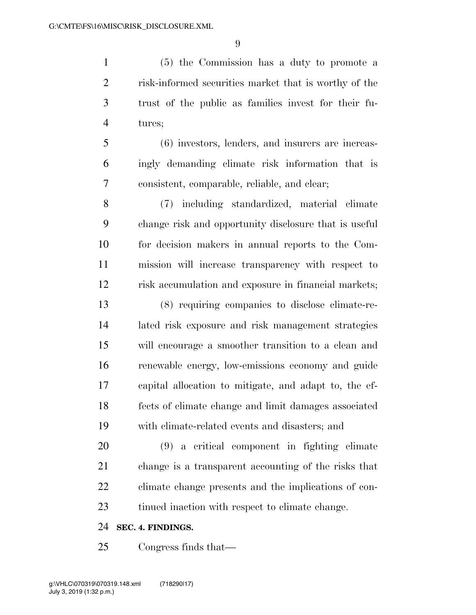(5) the Commission has a duty to promote a risk-informed securities market that is worthy of the trust of the public as families invest for their fu-tures;

 (6) investors, lenders, and insurers are increas- ingly demanding climate risk information that is consistent, comparable, reliable, and clear;

 (7) including standardized, material climate change risk and opportunity disclosure that is useful for decision makers in annual reports to the Com- mission will increase transparency with respect to risk accumulation and exposure in financial markets;

 (8) requiring companies to disclose climate-re- lated risk exposure and risk management strategies will encourage a smoother transition to a clean and renewable energy, low-emissions economy and guide capital allocation to mitigate, and adapt to, the ef- fects of climate change and limit damages associated with climate-related events and disasters; and

 (9) a critical component in fighting climate change is a transparent accounting of the risks that climate change presents and the implications of con-tinued inaction with respect to climate change.

#### **SEC. 4. FINDINGS.**

Congress finds that—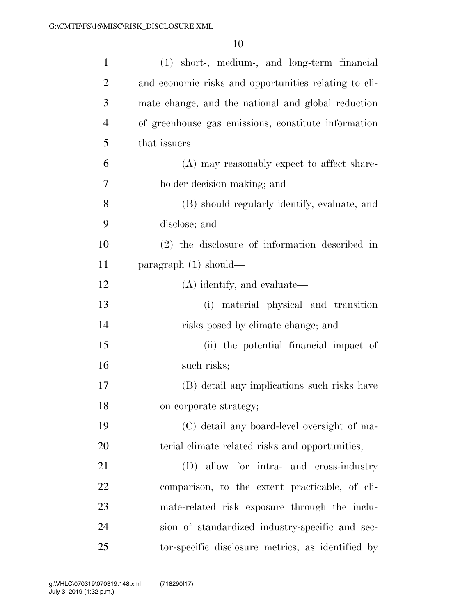| $\mathbf{1}$   | (1) short-, medium-, and long-term financial          |
|----------------|-------------------------------------------------------|
| $\overline{2}$ | and economic risks and opportunities relating to cli- |
| 3              | mate change, and the national and global reduction    |
| $\overline{4}$ | of greenhouse gas emissions, constitute information   |
| 5              | that issuers—                                         |
| 6              | (A) may reasonably expect to affect share-            |
| 7              | holder decision making; and                           |
| 8              | (B) should regularly identify, evaluate, and          |
| 9              | disclose; and                                         |
| 10             | (2) the disclosure of information described in        |
| 11             | $\text{param}$ (1) should—                            |
| 12             | (A) identify, and evaluate—                           |
| 13             | material physical and transition<br>(i)               |
| 14             | risks posed by climate change; and                    |
| 15             | (ii) the potential financial impact of                |
| 16             | such risks;                                           |
| 17             | (B) detail any implications such risks have           |
| 18             | on corporate strategy;                                |
| 19             | (C) detail any board-level oversight of ma-           |
| 20             | terial climate related risks and opportunities;       |
| 21             | (D) allow for intra- and cross-industry               |
| 22             | comparison, to the extent practicable, of cli-        |
| 23             | mate-related risk exposure through the inclu-         |
| 24             | sion of standardized industry-specific and sec-       |
| 25             | tor-specific disclosure metrics, as identified by     |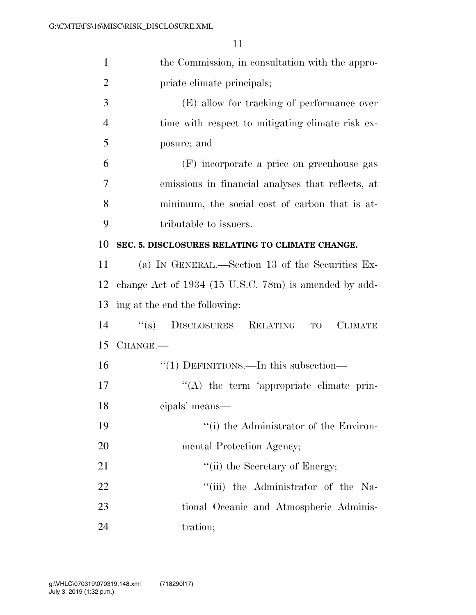| $\mathbf{1}$   | the Commission, in consultation with the appro-              |
|----------------|--------------------------------------------------------------|
| $\overline{2}$ | priate climate principals;                                   |
| 3              | (E) allow for tracking of performance over                   |
| $\overline{4}$ | time with respect to mitigating climate risk ex-             |
| 5              | posure; and                                                  |
| 6              | (F) incorporate a price on greenhouse gas                    |
| $\overline{7}$ | emissions in financial analyses that reflects, at            |
| 8              | minimum, the social cost of carbon that is at-               |
| 9              | tributable to issuers.                                       |
| 10             | SEC. 5. DISCLOSURES RELATING TO CLIMATE CHANGE.              |
| 11             | (a) IN GENERAL.—Section 13 of the Securities Ex-             |
| 12             | change Act of 1934 (15 U.S.C. 78m) is amended by add-        |
| 13             | ing at the end the following:                                |
| 14             | DISCLOSURES RELATING<br>``(s)<br><b>CLIMATE</b><br><b>TO</b> |
| 15             | CHANGE.                                                      |
| 16             | $\cdot\cdot(1)$ DEFINITIONS.—In this subsection—             |
| 17             | $\lq\lq$ the term 'appropriate climate prin-                 |
| 18             | cipals' means-                                               |
| 19             | "(i) the Administrator of the Environ-                       |
| 20             | mental Protection Agency;                                    |
| 21             | "(ii) the Secretary of Energy;                               |
| 22             | "(iii) the Administrator of the Na-                          |
| 23             | tional Oceanic and Atmospheric Adminis-                      |
| 24             | tration;                                                     |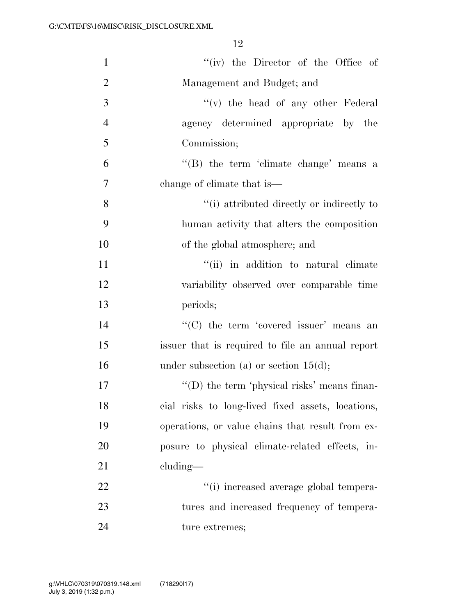| $\mathbf{1}$   | "(iv) the Director of the Office of                 |
|----------------|-----------------------------------------------------|
| $\overline{2}$ | Management and Budget; and                          |
| 3              | $f'(v)$ the head of any other Federal               |
| $\overline{4}$ | agency determined appropriate by the                |
| 5              | Commission;                                         |
| 6              | "(B) the term 'climate change' means a              |
| $\overline{7}$ | change of climate that is—                          |
| 8              | "(i) attributed directly or indirectly to           |
| 9              | human activity that alters the composition          |
| 10             | of the global atmosphere; and                       |
| 11             | "(ii) in addition to natural climate                |
| 12             | variability observed over comparable time           |
| 13             | periods;                                            |
| 14             | "(C) the term 'covered issuer' means an             |
| 15             | issuer that is required to file an annual report    |
| 16             | under subsection (a) or section $15(d)$ ;           |
| 17             | $\lq\lq$ (D) the term 'physical risks' means finan- |
| 18             | cial risks to long-lived fixed assets, locations,   |
| 19             | operations, or value chains that result from ex-    |
| 20             | posure to physical climate-related effects, in-     |
| 21             | cluding—                                            |
| 22             | "(i) increased average global tempera-              |
| 23             | tures and increased frequency of tempera-           |
| 24             | ture extremes;                                      |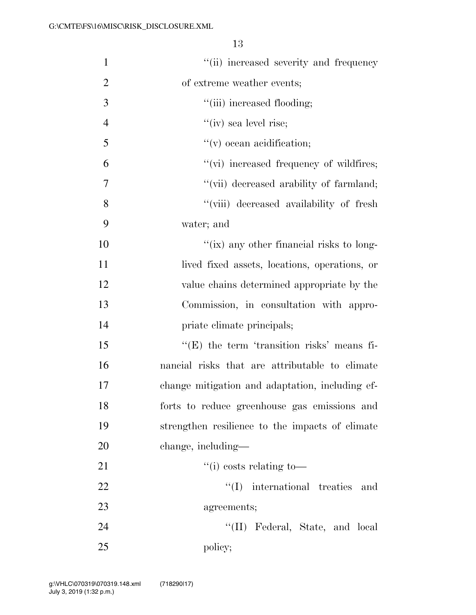| $\mathbf{1}$   | "(ii) increased severity and frequency          |
|----------------|-------------------------------------------------|
| $\overline{2}$ | of extreme weather events;                      |
| 3              | "(iii) increased flooding;                      |
| $\overline{4}$ | $f'(iv)$ sea level rise;                        |
| 5              | $f'(v)$ ocean acidification;                    |
| 6              | "(vi) increased frequency of wildfires;         |
| 7              | "(vii) decreased arability of farmland;         |
| 8              | "(viii) decreased availability of fresh         |
| 9              | water; and                                      |
| 10             | "(ix) any other financial risks to long-        |
| 11             | lived fixed assets, locations, operations, or   |
| 12             | value chains determined appropriate by the      |
| 13             | Commission, in consultation with appro-         |
| 14             | priate climate principals;                      |
| 15             | $f(E)$ the term 'transition risks' means fi-    |
| 16             | nancial risks that are attributable to climate  |
| 17             | change mitigation and adaptation, including ef- |
| 18             | forts to reduce greenhouse gas emissions and    |
| 19             | strengthen resilience to the impacts of climate |
| 20             | change, including—                              |
| 21             | $``(i) \; costs \; relating \; to \; -$         |
| 22             | international treaties<br>``(I)<br>and          |
| 23             | agreements;                                     |
| 24             | "(II) Federal, State, and local                 |
| 25             | policy;                                         |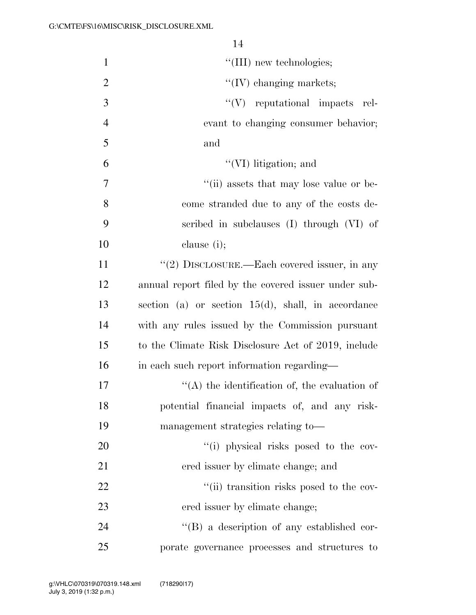|                | 14                                                    |
|----------------|-------------------------------------------------------|
| $\mathbf{1}$   | "(III) new technologies;                              |
| $\overline{2}$ | $\lq\lq$ (IV) changing markets;                       |
| 3              | $\lq\lq(V)$ reputational impacts rel-                 |
| $\overline{4}$ | evant to changing consumer behavior;                  |
| 5              | and                                                   |
| 6              | $\lq\lq$ (VI) litigation; and                         |
| 7              | "(ii) assets that may lose value or be-               |
| 8              | come stranded due to any of the costs de-             |
| 9              | scribed in subclauses (I) through (VI) of             |
| 10             | clause (i);                                           |
| 11             | "(2) DISCLOSURE.—Each covered issuer, in any          |
| 12             | annual report filed by the covered issuer under sub-  |
| 13             | section (a) or section $15(d)$ , shall, in accordance |
| 14             | with any rules issued by the Commission pursuant      |
| 15             | to the Climate Risk Disclosure Act of 2019, include   |
| 16             | in each such report information regarding—            |
| 17             | $\lq\lq$ the identification of, the evaluation of     |
| 18             | potential financial impacts of, and any risk-         |
| 19             | management strategies relating to-                    |
| 20             | "(i) physical risks posed to the cov-                 |
| 21             | ered issuer by climate change; and                    |
| 22             | "(ii) transition risks posed to the cov-              |
| 23             | ered issuer by climate change;                        |
| 24             | "(B) a description of any established cor-            |
| 25             | porate governance processes and structures to         |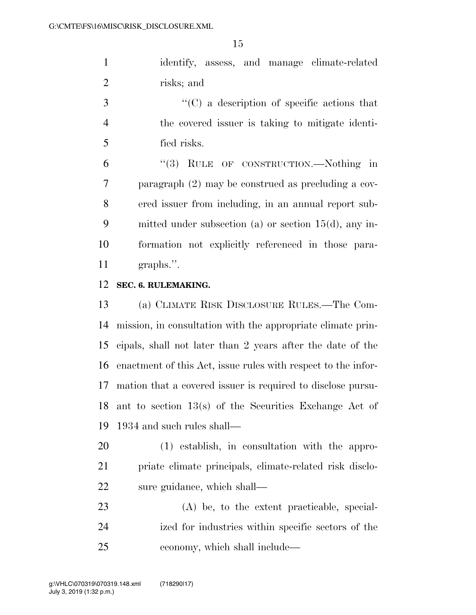identify, assess, and manage climate-related risks; and

 ''(C) a description of specific actions that the covered issuer is taking to mitigate identi-fied risks.

 ''(3) RULE OF CONSTRUCTION.—Nothing in paragraph (2) may be construed as precluding a cov- ered issuer from including, in an annual report sub- mitted under subsection (a) or section 15(d), any in- formation not explicitly referenced in those para-graphs.''.

#### **SEC. 6. RULEMAKING.**

 (a) CLIMATE RISK DISCLOSURE RULES.—The Com- mission, in consultation with the appropriate climate prin- cipals, shall not later than 2 years after the date of the enactment of this Act, issue rules with respect to the infor- mation that a covered issuer is required to disclose pursu- ant to section 13(s) of the Securities Exchange Act of 1934 and such rules shall—

 (1) establish, in consultation with the appro- priate climate principals, climate-related risk disclo-sure guidance, which shall—

 (A) be, to the extent practicable, special- ized for industries within specific sectors of the economy, which shall include—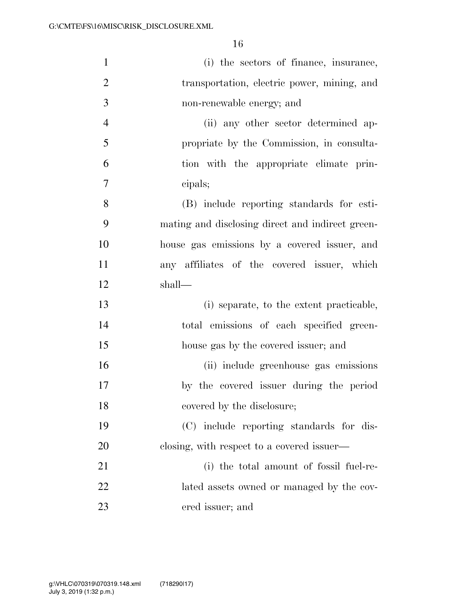| $\mathbf{1}$   | (i) the sectors of finance, insurance,           |
|----------------|--------------------------------------------------|
| $\overline{2}$ | transportation, electric power, mining, and      |
| 3              | non-renewable energy; and                        |
| $\overline{4}$ | (ii) any other sector determined ap-             |
| 5              | propriate by the Commission, in consulta-        |
| 6              | tion with the appropriate climate prin-          |
| $\overline{7}$ | cipals;                                          |
| 8              | (B) include reporting standards for esti-        |
| 9              | mating and disclosing direct and indirect green- |
| 10             | house gas emissions by a covered issuer, and     |
| 11             | any affiliates of the covered issuer, which      |
| 12             | shall—                                           |
| 13             | (i) separate, to the extent practicable,         |
| 14             | total emissions of each specified green-         |
| 15             | house gas by the covered issuer; and             |
| 16             | (ii) include greenhouse gas emissions            |
| 17             | by the covered issuer during the period          |
| 18             | covered by the disclosure;                       |
| 19             | (C) include reporting standards for dis-         |
| 20             | closing, with respect to a covered issuer—       |
| 21             | (i) the total amount of fossil fuel-re-          |
| 22             | lated assets owned or managed by the cov-        |
| 23             | ered issuer; and                                 |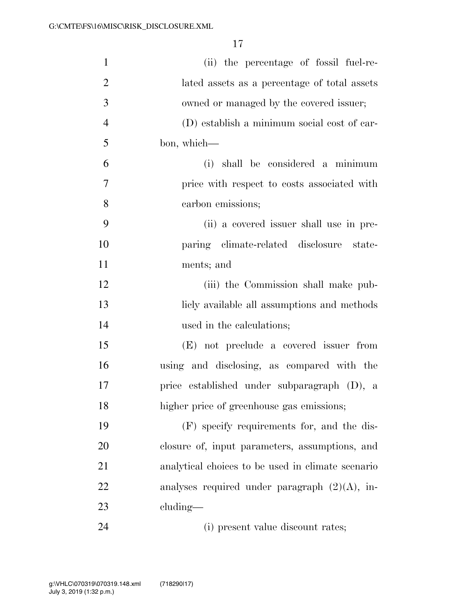| $\mathbf{1}$   | (ii) the percentage of fossil fuel-re-            |
|----------------|---------------------------------------------------|
| $\overline{2}$ | lated assets as a percentage of total assets      |
| $\mathfrak{Z}$ | owned or managed by the covered issuer;           |
| $\overline{4}$ | (D) establish a minimum social cost of car-       |
| 5              | bon, which—                                       |
| 6              | (i) shall be considered a minimum                 |
| 7              | price with respect to costs associated with       |
| 8              | carbon emissions;                                 |
| 9              | (ii) a covered issuer shall use in pre-           |
| 10             | paring climate-related disclosure state-          |
| 11             | ments; and                                        |
| 12             | (iii) the Commission shall make pub-              |
| 13             | licly available all assumptions and methods       |
| 14             | used in the calculations;                         |
| 15             | (E) not preclude a covered issuer from            |
| 16             | using and disclosing, as compared with the        |
| 17             | price established under subparagraph (D), a       |
| 18             | higher price of greenhouse gas emissions;         |
| 19             | (F) specify requirements for, and the dis-        |
| 20             | closure of, input parameters, assumptions, and    |
| 21             | analytical choices to be used in climate scenario |
| 22             | analyses required under paragraph $(2)(A)$ , in-  |
| 23             | $cluding$ —                                       |
| 24             | (i) present value discount rates;                 |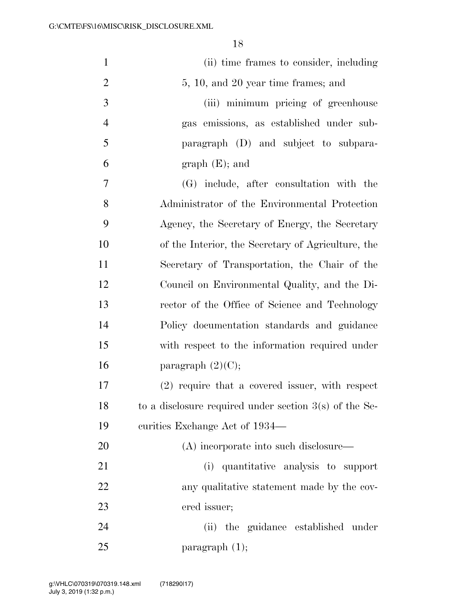| $\mathbf{1}$   | (ii) time frames to consider, including                  |
|----------------|----------------------------------------------------------|
| $\overline{2}$ | 5, 10, and 20 year time frames; and                      |
| 3              | (iii) minimum pricing of greenhouse                      |
| $\overline{4}$ | gas emissions, as established under sub-                 |
| 5              | paragraph (D) and subject to subpara-                    |
| 6              | $graph(E);$ and                                          |
| 7              | (G) include, after consultation with the                 |
| 8              | Administrator of the Environmental Protection            |
| 9              | Agency, the Secretary of Energy, the Secretary           |
| 10             | of the Interior, the Secretary of Agriculture, the       |
| 11             | Secretary of Transportation, the Chair of the            |
| 12             | Council on Environmental Quality, and the Di-            |
| 13             | rector of the Office of Science and Technology           |
| 14             | Policy documentation standards and guidance              |
| 15             | with respect to the information required under           |
| 16             | paragraph $(2)(C)$ ;                                     |
| 17             | (2) require that a covered issuer, with respect          |
| 18             | to a disclosure required under section $3(s)$ of the Se- |
| 19             | curities Exchange Act of 1934—                           |
| 20             | (A) incorporate into such disclosure—                    |
| 21             | (i) quantitative analysis to support                     |
| 22             | any qualitative statement made by the cov-               |
| 23             | ered issuer;                                             |
| 24             | (ii) the guidance established under                      |
| 25             | $\frac{1}{2}$                                            |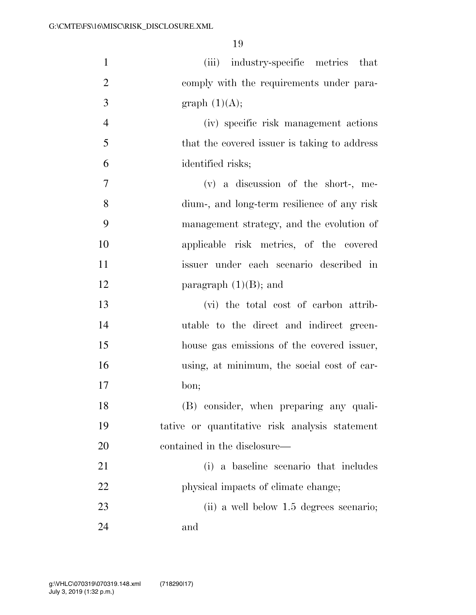| $\mathbf{1}$   | (iii) industry-specific metrics that           |
|----------------|------------------------------------------------|
| $\overline{2}$ | comply with the requirements under para-       |
| 3              | graph $(1)(A);$                                |
| $\overline{4}$ | (iv) specific risk management actions          |
| 5              | that the covered issuer is taking to address   |
| 6              | identified risks;                              |
| $\overline{7}$ | (v) a discussion of the short-, me-            |
| 8              | dium-, and long-term resilience of any risk    |
| 9              | management strategy, and the evolution of      |
| 10             | applicable risk metrics, of the covered        |
| 11             | issuer under each scenario described in        |
| 12             | paragraph $(1)(B)$ ; and                       |
| 13             | (vi) the total cost of carbon attrib-          |
| 14             | utable to the direct and indirect green-       |
| 15             | house gas emissions of the covered issuer,     |
| 16             | using, at minimum, the social cost of car-     |
| 17             | bon;                                           |
| 18             | (B) consider, when preparing any quali-        |
| 19             | tative or quantitative risk analysis statement |
| 20             | contained in the disclosure—                   |
| 21             | (i) a baseline scenario that includes          |
| 22             | physical impacts of climate change;            |
| 23             | (ii) a well below 1.5 degrees scenario;        |
| 24             | and                                            |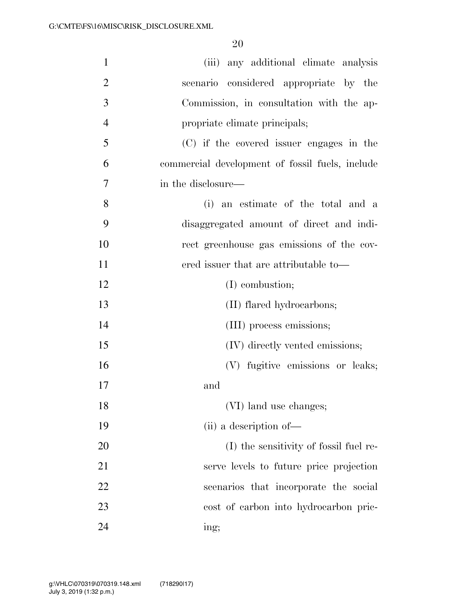| $\mathbf{1}$   | (iii) any additional climate analysis           |
|----------------|-------------------------------------------------|
| $\overline{2}$ | scenario considered appropriate by the          |
| 3              | Commission, in consultation with the ap-        |
| $\overline{4}$ | propriate climate principals;                   |
| 5              | (C) if the covered issuer engages in the        |
| 6              | commercial development of fossil fuels, include |
| 7              | in the disclosure—                              |
| 8              | (i) an estimate of the total and a              |
| 9              | disaggregated amount of direct and indi-        |
| 10             | rect greenhouse gas emissions of the cov-       |
| 11             | ered issuer that are attributable to—           |
| 12             | (I) combustion;                                 |
| 13             | (II) flared hydrocarbons;                       |
| 14             | (III) process emissions;                        |
| 15             | (IV) directly vented emissions;                 |
| 16             | (V) fugitive emissions or leaks;                |
| 17             | and                                             |
| 18             | (VI) land use changes;                          |
| 19             | (ii) a description of—                          |
| 20             | (I) the sensitivity of fossil fuel re-          |
| 21             | serve levels to future price projection         |
| 22             | scenarios that incorporate the social           |
| 23             | cost of carbon into hydrocarbon pric-           |
| 24             | ing;                                            |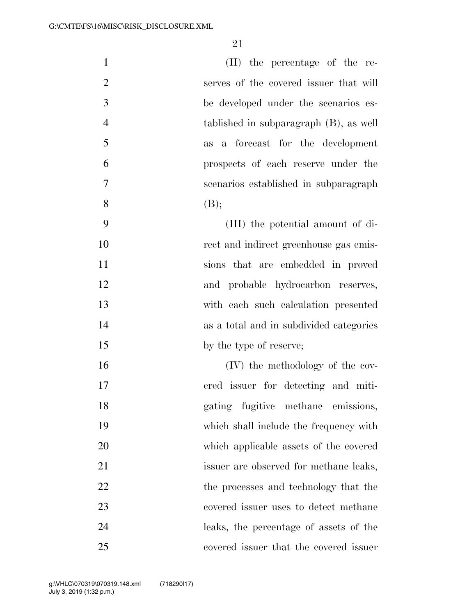| $\mathbf{1}$   | (II) the percentage of the re-          |
|----------------|-----------------------------------------|
| $\overline{2}$ | serves of the covered issuer that will  |
| 3              | be developed under the scenarios es-    |
| $\overline{4}$ | tablished in subparagraph (B), as well  |
| 5              | a forecast for the development<br>as    |
| 6              | prospects of each reserve under the     |
| $\overline{7}$ | scenarios established in subparagraph   |
| 8              | (B);                                    |
| 9              | (III) the potential amount of di-       |
| 10             | rect and indirect greenhouse gas emis-  |
| 11             | sions that are embedded in proved       |
| 12             | and probable hydrocarbon reserves,      |
| 13             | with each such calculation presented    |
| 14             | as a total and in subdivided categories |
| 15             | by the type of reserve;                 |
| 16             | (IV) the methodology of the cov-        |
| 17             | ered issuer for detecting and miti-     |
| 18             | gating fugitive methane emissions,      |
| 19             | which shall include the frequency with  |
| 20             | which applicable assets of the covered  |
| 21             | issuer are observed for methane leaks,  |
| 22             | the processes and technology that the   |
| 23             | covered issuer uses to detect methane   |
| 24             | leaks, the percentage of assets of the  |
| 25             | covered issuer that the covered issuer  |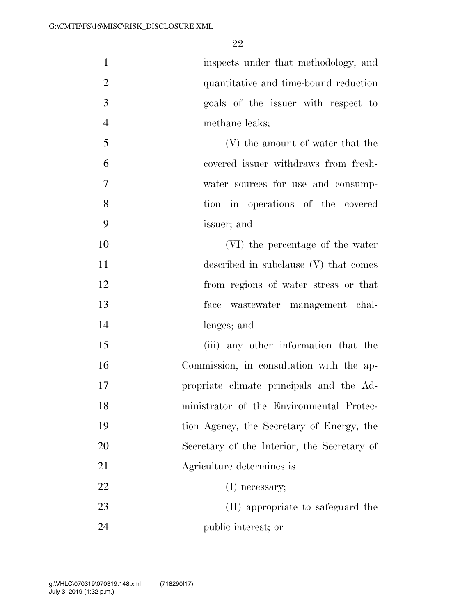| $\mathbf{1}$   | inspects under that methodology, and        |
|----------------|---------------------------------------------|
| $\overline{2}$ | quantitative and time-bound reduction       |
| 3              | goals of the issuer with respect to         |
| $\overline{4}$ | methane leaks;                              |
| 5              | (V) the amount of water that the            |
| 6              | covered issuer withdraws from fresh-        |
| $\overline{7}$ | water sources for use and consump-          |
| 8              | tion in operations of the covered           |
| 9              | issuer; and                                 |
| 10             | (VI) the percentage of the water            |
| 11             | described in subclause (V) that comes       |
| 12             | from regions of water stress or that        |
| 13             | face wastewater management chal-            |
| 14             | lenges; and                                 |
| 15             | (iii) any other information that the        |
| 16             | Commission, in consultation with the ap-    |
| 17             | propriate climate principals and the Ad-    |
| 18             | ministrator of the Environmental Protec-    |
| 19             | tion Agency, the Secretary of Energy, the   |
| 20             | Secretary of the Interior, the Secretary of |
| 21             | Agriculture determines is—                  |
| 22             | $(I)$ necessary;                            |
| 23             | (II) appropriate to safeguard the           |
| 24             | public interest; or                         |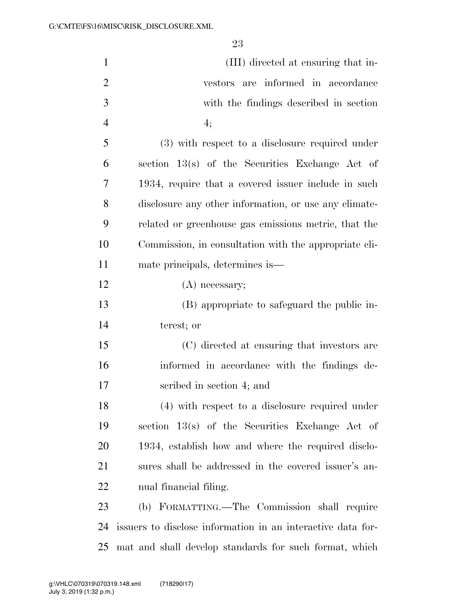| $\mathbf{1}$   | (III) directed at ensuring that in-                         |
|----------------|-------------------------------------------------------------|
| $\overline{2}$ | vestors are informed in accordance                          |
| 3              | with the findings described in section                      |
| $\overline{4}$ | 4;                                                          |
| 5              | (3) with respect to a disclosure required under             |
| 6              | section 13(s) of the Securities Exchange Act of             |
| 7              | 1934, require that a covered issuer include in such         |
| 8              | disclosure any other information, or use any climate-       |
| 9              | related or greenhouse gas emissions metric, that the        |
| 10             | Commission, in consultation with the appropriate cli-       |
| 11             | mate principals, determines is—                             |
| 12             | $(A)$ necessary;                                            |
| 13             | (B) appropriate to safeguard the public in-                 |
| 14             | terest; or                                                  |
| 15             | (C) directed at ensuring that investors are                 |
| 16             | informed in accordance with the findings de-                |
| 17             | scribed in section 4; and                                   |
| 18             | (4) with respect to a disclosure required under             |
| 19             | section $13(s)$ of the Securities Exchange Act of           |
| 20             | 1934, establish how and where the required disclo-          |
| 21             | sures shall be addressed in the covered issuer's an-        |
| <u>22</u>      | nual financial filing.                                      |
| 23             | (b) FORMATTING.—The Commission shall require                |
| 24             | issuers to disclose information in an interactive data for- |
| 25             | mat and shall develop standards for such format, which      |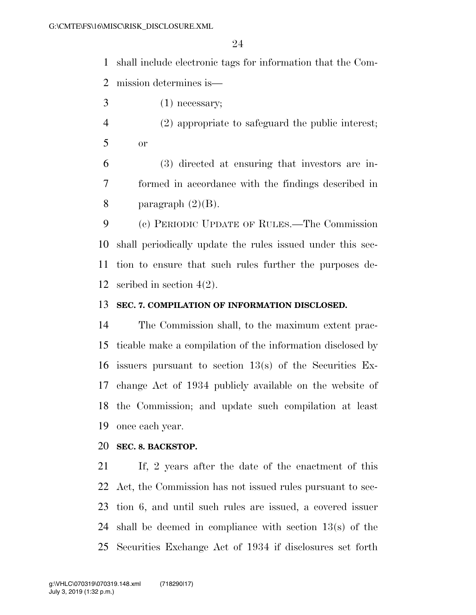shall include electronic tags for information that the Com-mission determines is—

- $3 \t(1)$  necessary;
- (2) appropriate to safeguard the public interest; or

 (3) directed at ensuring that investors are in- formed in accordance with the findings described in 8 paragraph  $(2)(B)$ .

 (c) PERIODIC UPDATE OF RULES.—The Commission shall periodically update the rules issued under this sec- tion to ensure that such rules further the purposes de-scribed in section 4(2).

## **SEC. 7. COMPILATION OF INFORMATION DISCLOSED.**

 The Commission shall, to the maximum extent prac- ticable make a compilation of the information disclosed by issuers pursuant to section 13(s) of the Securities Ex- change Act of 1934 publicly available on the website of the Commission; and update such compilation at least once each year.

#### **SEC. 8. BACKSTOP.**

 If, 2 years after the date of the enactment of this Act, the Commission has not issued rules pursuant to sec- tion 6, and until such rules are issued, a covered issuer shall be deemed in compliance with section 13(s) of the Securities Exchange Act of 1934 if disclosures set forth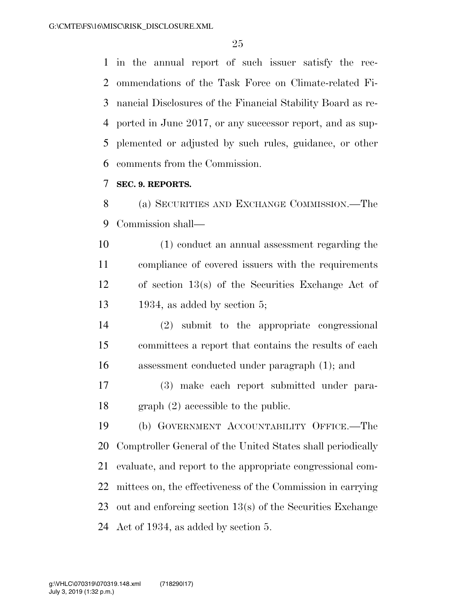in the annual report of such issuer satisfy the rec- ommendations of the Task Force on Climate-related Fi- nancial Disclosures of the Financial Stability Board as re- ported in June 2017, or any successor report, and as sup- plemented or adjusted by such rules, guidance, or other comments from the Commission.

#### **SEC. 9. REPORTS.**

 (a) SECURITIES AND EXCHANGE COMMISSION.—The Commission shall—

 (1) conduct an annual assessment regarding the compliance of covered issuers with the requirements of section 13(s) of the Securities Exchange Act of 1934, as added by section 5;

 (2) submit to the appropriate congressional committees a report that contains the results of each assessment conducted under paragraph (1); and

 (3) make each report submitted under para-graph (2) accessible to the public.

 (b) GOVERNMENT ACCOUNTABILITY OFFICE.—The Comptroller General of the United States shall periodically evaluate, and report to the appropriate congressional com- mittees on, the effectiveness of the Commission in carrying out and enforcing section 13(s) of the Securities Exchange Act of 1934, as added by section 5.